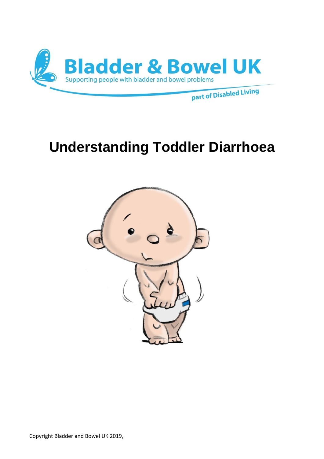

# **Understanding Toddler Diarrhoea**

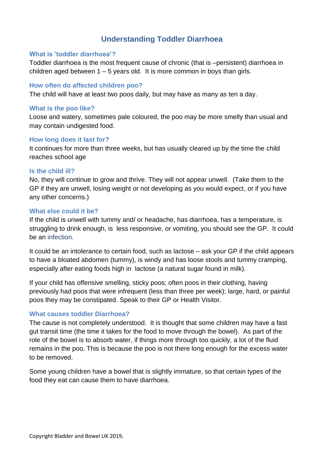# **Understanding Toddler Diarrhoea**

#### **What is 'toddler diarrhoea'?**

Toddler diarrhoea is the most frequent cause of chronic (that is –persistent) diarrhoea in children aged between  $1 - 5$  years old. It is more common in boys than girls.

### **How often do affected children poo?**

The child will have at least two poos daily, but may have as many as ten a day.

#### **What is the poo like?**

Loose and watery, sometimes pale coloured, the poo may be more smelly than usual and may contain undigested food.

#### **How long does it last for?**

It continues for more than three weeks, but has usually cleared up by the time the child reaches school age

#### **Is the child ill?**

No, they will continue to grow and thrive. They will not appear unwell. (Take them to the GP if they are unwell, losing weight or not developing as you would expect, or if you have any other concerns.)

#### **What else could it be?**

If the child is unwell with tummy and/ or headache, has diarrhoea, has a temperature, is struggling to drink enough, is less responsive, or vomiting, you should see the GP. It could be an infection.

It could be an intolerance to certain food, such as lactose – ask your GP if the child appears to have a bloated abdomen (tummy), is windy and has loose stools and tummy cramping, especially after eating foods high in lactose (a natural sugar found in milk).

If your child has offensive smelling, sticky poos; often poos in their clothing, having previously had poos that were infrequent (less than three per week); large, hard, or painful poos they may be constipated. Speak to their GP or Health Visitor.

# **What causes toddler Diarrhoea?**

The cause is not completely understood. It is thought that some children may have a fast gut transit time (the time it takes for the food to move through the bowel). As part of the role of the bowel is to absorb water, if things more through too quickly, a lot of the fluid remains in the poo. This is because the poo is not there long enough for the excess water to be removed.

Some young children have a bowel that is slightly immature, so that certain types of the food they eat can cause them to have diarrhoea.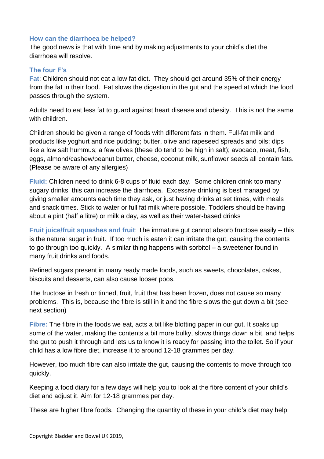# **How can the diarrhoea be helped?**

The good news is that with time and by making adjustments to your child's diet the diarrhoea will resolve.

# **The four F's**

**Fat**: Children should not eat a low fat diet. They should get around 35% of their energy from the fat in their food. Fat slows the digestion in the gut and the speed at which the food passes through the system.

Adults need to eat less fat to guard against heart disease and obesity. This is not the same with children.

Children should be given a range of foods with different fats in them. Full-fat milk and products like yoghurt and rice pudding; butter, olive and rapeseed spreads and oils; dips like a low salt hummus; a few olives (these do tend to be high in salt); avocado, meat, fish, eggs, almond/cashew/peanut butter, cheese, coconut milk, sunflower seeds all contain fats. (Please be aware of any allergies)

**Fluid:** Children need to drink 6-8 cups of fluid each day. Some children drink too many sugary drinks, this can increase the diarrhoea. Excessive drinking is best managed by giving smaller amounts each time they ask, or just having drinks at set times, with meals and snack times. Stick to water or full fat milk where possible. Toddlers should be having about a pint (half a litre) or milk a day, as well as their water-based drinks

**Fruit juice/fruit squashes and fruit**: The immature gut cannot absorb fructose easily – this is the natural sugar in fruit. If too much is eaten it can irritate the gut, causing the contents to go through too quickly. A similar thing happens with sorbitol – a sweetener found in many fruit drinks and foods.

Refined sugars present in many ready made foods, such as sweets, chocolates, cakes, biscuits and desserts, can also cause looser poos.

The fructose in fresh or tinned, fruit, fruit that has been frozen, does not cause so many problems. This is, because the fibre is still in it and the fibre slows the gut down a bit (see next section)

**Fibre:** The fibre in the foods we eat, acts a bit like blotting paper in our gut. It soaks up some of the water, making the contents a bit more bulky, slows things down a bit, and helps the gut to push it through and lets us to know it is ready for passing into the toilet. So if your child has a low fibre diet, increase it to around 12-18 grammes per day.

However, too much fibre can also irritate the gut, causing the contents to move through too quickly.

Keeping a food diary for a few days will help you to look at the fibre content of your child's diet and adjust it. Aim for 12-18 grammes per day.

These are higher fibre foods. Changing the quantity of these in your child's diet may help: